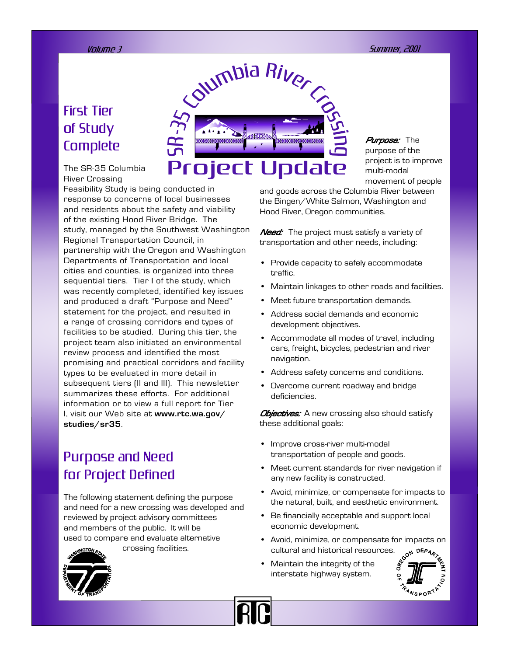## First Tier of Study **Complete**

The SR-35 Columbia River Crossing

Feasibility Study is being conducted in response to concerns of local businesses and residents about the safety and viability of the existing Hood River Bridge. The study, managed by the Southwest Washington Regional Transportation Council, in partnership with the Oregon and Washington Departments of Transportation and local cities and counties, is organized into three sequential tiers. Tier I of the study, which was recently completed, identified key issues and produced a draft "Purpose and Need" statement for the project, and resulted in a range of crossing corridors and types of facilities to be studied. During this tier, the project team also initiated an environmental review process and identified the most promising and practical corridors and facility types to be evaluated in more detail in subsequent tiers (II and III). This newsletter summarizes these efforts. For additional information or to view a full report for Tier I, visit our Web site at **www.rtc.wa.gov/ studies/sr35**.

### Purpose and Need for Project Defined

The following statement defining the purpose and need for a new crossing was developed and reviewed by project advisory committees and members of the public. It will be used to compare and evaluate alternative crossing facilities.





Purpose: The purpose of the project is to improve multi-modal movement of people

and goods across the Columbia River between the Bingen/White Salmon, Washington and Hood River, Oregon communities.

Need: The project must satisfy a variety of transportation and other needs, including:

- Provide capacity to safely accommodate traffic.
- Maintain linkages to other roads and facilities.
- Meet future transportation demands.
- Address social demands and economic development objectives.
- Accommodate all modes of travel, including cars, freight, bicycles, pedestrian and river navigation.
- Address safety concerns and conditions.
- Overcome current roadway and bridge deficiencies.

**Objectives:** A new crossing also should satisfy these additional goals:

- Improve cross-river multi-modal transportation of people and goods.
- Meet current standards for river navigation if any new facility is constructed.
- Avoid, minimize, or compensate for impacts to the natural, built, and aesthetic environment.
- Be financially acceptable and support local economic development.
- Avoid, minimize, or compensate for impacts on cultural and historical resources.
- Maintain the integrity of the interstate highway system.

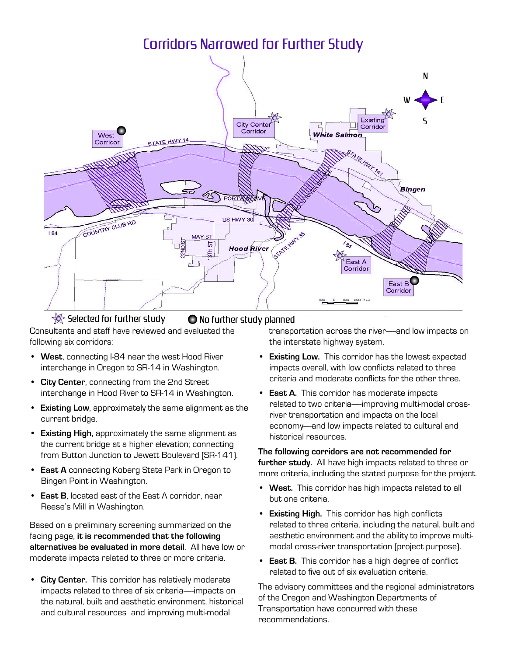

 $\mathcal{\mathscr{D}}$  Selected for further study  $\qquad \qquad$  No further study planned

Consultants and staff have reviewed and evaluated the following six corridors:

- **West**, connecting I-84 near the west Hood River interchange in Oregon to SR-14 in Washington.
- **City Center**, connecting from the 2nd Street interchange in Hood River to SR-14 in Washington.
- **Existing Low**, approximately the same alignment as the **Existing EST**, a<br>current bridge.
- **Existing High**, approximately the same alignment as the current bridge at a higher elevation; connecting from Button Junction to Jewett Boulevard (SR-141).
- **East A** connecting Koberg State Park in Oregon to Bingen Point in Washington.
- **East B**, located east of the East A corridor, near Reese's Mill in Washington.

Based on a preliminary screening summarized on the facing page, **it is recommended that the following alternatives be evaluated in more detail**. All have low or moderate impacts related to three or more criteria.

• **City Center.** This corridor has relatively moderate end content. This compact has relatively meder asset the impacts on the natural, built and aesthetic environment, historical and cultural resources and improving multi-modal

 transportation across the river—--and low impacts on the interstate highway system.

- **Existing Low.** This corridor has the lowest expected impacts overall, with low conflicts related to three criteria and moderate conflicts for the other three.
- **East A.** This corridor has moderate impacts related to two criteria—-improving multi-modal crossriver transportation and impacts on the local economy—-and low impacts related to cultural and historical resources.

**The following corridors are not recommended for further study.** All have high impacts related to three or runding to statust matter ingit imposes to also a stated of the project.

- **West.** This corridor has high impacts related to all but one criteria.
- **Existing High.** This corridor has high conflicts related to three criteria, including the natural, built and aesthetic environment and the ability to improve multimodal cross-river transportation (project purpose).
- **East B.** This corridor has a high degree of conflict related to five out of six evaluation criteria.

The advisory committees and the regional administrators of the Oregon and Washington Departments of Transportation have concurred with these recommendations.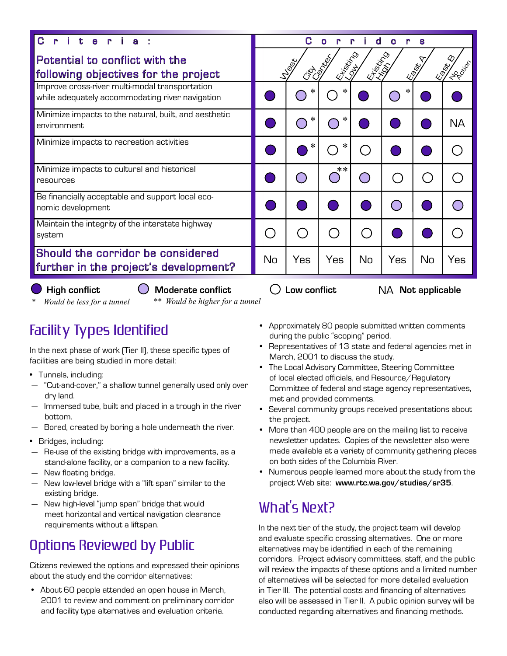| t.<br>e.                                                                                          | d<br>$\Omega$<br>O                                                                                           |     |      |    |     |    |           |
|---------------------------------------------------------------------------------------------------|--------------------------------------------------------------------------------------------------------------|-----|------|----|-----|----|-----------|
| Potential to conflict with the<br>following objectives for the project                            | <b>CONTROLLED</b><br><b>RISTORY</b><br><b>RAND</b><br><b>NEWSTA</b><br>Leg<br>LIPT <sup>ON</sup><br>is<br>Un |     |      |    |     |    |           |
| Improve cross-river multi-modal transportation<br>while adequately accommodating river navigation |                                                                                                              |     | ∗    |    |     |    |           |
| Minimize impacts to the natural, built, and aesthetic<br>environment                              |                                                                                                              | ∗   | ∗    |    |     |    | <b>NA</b> |
| Minimize impacts to recreation activities                                                         |                                                                                                              |     | ∗    |    |     |    |           |
| Minimize impacts to cultural and historical<br>resources                                          |                                                                                                              |     | $**$ |    |     |    |           |
| Be financially acceptable and support local eco-<br>nomic development                             |                                                                                                              |     |      |    |     |    |           |
| Maintain the integrity of the interstate highway<br>system                                        |                                                                                                              |     |      |    |     |    |           |
| Should the corridor be considered<br>further in the project's development?                        | No                                                                                                           | Yes | Yes  | No | Yes | No | Yes       |

**High conflict Moderate conflict Low conflict** NA **Not applicable**

*\* Would be less for a tunnel \*\* Would be higher for a tunnel*

# Facility Types Identified

In the next phase of work (Tier II), these specific types of mane hexa phase or work (her inj, anses s<br>facilities are being studied in more detail:

- Tunnels, including:
- "Cut-and-cover," a shallow tunnel generally used only over dry land.
- Immersed tube, built and placed in a trough in the river bottom.
- Bored, created by boring a hole underneath the river.
- Bridges, including:
- Re-use of the existing bridge with improvements, as a stand-alone facility, or a companion to a new facility.
- New floating bridge.
- New low-level bridge with a "lift span" similar to the existing bridge.
- New high-level "jump span" bridge that would meet horizontal and vertical navigation clearance meet non zonten en die vontlieden neue

## Options Reviewed by Public

Citizens reviewed the options and expressed their opinions about the study and the corridor alternatives:

• About 60 people attended an open house in March, 2001 to review and comment on preliminary corridor and facility type alternatives and evaluation criteria.

- Approximately 80 people submitted written comments during the public "scoping" period.
- Representatives of 13 state and federal agencies met in March, 2001 to discuss the study.
- The Local Advisory Committee, Steering Committee of local elected officials, and Resource/Regulatory or issuit shocked smokile, and mosedredy magdiatory<br>Committee of federal and stage agency representatives, met and provided comments.
- Several community groups received presentations about the project.
- More than 400 people are on the mailing list to receive newsletter updates. Copies of the newsletter also were made available at a variety of community gathering places on both sides of the Columbia River.
- Numerous people learned more about the study from the project Web site: **www.rtc.wa.gov/studies/sr35**.

# What's Next?

In the next tier of the study, the project team will develop and evaluate specific crossing alternatives. One or more alternatives may be identified in each of the remaining corridors. Project advisory committees, staff, and the public will review the impacts of these options and a limited number of alternatives will be selected for more detailed evaluation in Tier III. The potential costs and financing of alternatives also will be assessed in Tier II. A public opinion survey will be conducted regarding alternatives and financing methods.